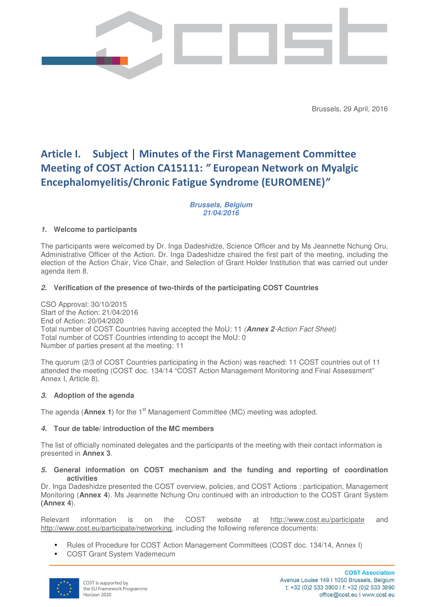

Brussels, 29 April, 2016

# **Article I. Subject │ Minutes of the First Management Committee Meeting of COST Action CA15111:** *"* **European Network on Myalgic Encephalomyelitis/Chronic Fatigue Syndrome (EUROMENE)***"*

## **Brussels, Belgium 21/04/2016**

# **1. Welcome to participants**

The participants were welcomed by Dr. Inga Dadeshidze, Science Officer and by Ms Jeannette Nchung Oru, Administrative Officer of the Action. Dr. Inga Dadeshidze chaired the first part of the meeting, including the election of the Action Chair, Vice Chair, and Selection of Grant Holder Institution that was carried out under agenda item 8.

# **2. Verification of the presence of two-thirds of the participating COST Countries**

CSO Approval: 30/10/2015 Start of the Action: 21/04/2016 End of Action: 20/04/2020 Total number of COST Countries having accepted the MoU: 11 (**Annex 2**-Action Fact Sheet) Total number of COST Countries intending to accept the MoU: 0 Number of parties present at the meeting: 11

The quorum (2/3 of COST Countries participating in the Action) was reached: 11 COST countries out of 11 attended the meeting (COST doc. 134/14 "COST Action Management Monitoring and Final Assessment" Annex I, Article 8).

## **3. Adoption of the agenda**

The agenda (**Annex 1**) for the 1<sup>st</sup> Management Committee (MC) meeting was adopted.

## **4. Tour de table/ introduction of the MC members**

The list of officially nominated delegates and the participants of the meeting with their contact information is presented in **Annex 3**.

## **5. General information on COST mechanism and the funding and reporting of coordination activities**

Dr. Inga Dadeshidze presented the COST overview, policies, and COST Actions : participation, Management Monitoring (**Annex 4**). Ms Jeannette Nchung Oru continued with an introduction to the COST Grant System **(Annex 4**).

Relevant information is on the COST website at http://www.cost.eu/participate and http://www.cost.eu/participate/networking, including the following reference documents:

- Rules of Procedure for COST Action Management Committees (COST doc. 134/14, Annex I)
- COST Grant System Vademecum

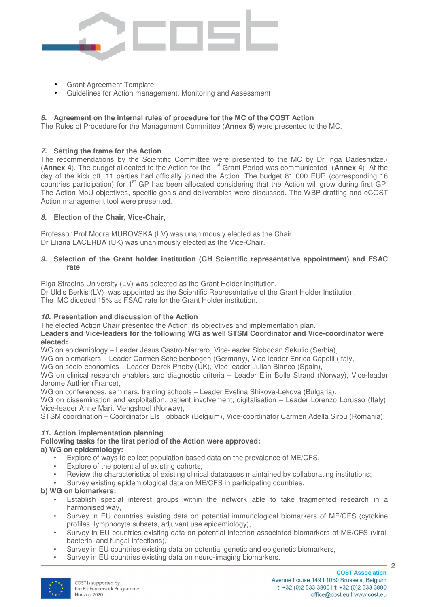

- Grant Agreement Template
- Guidelines for Action management, Monitoring and Assessment

#### **6. Agreement on the internal rules of procedure for the MC of the COST Action**

The Rules of Procedure for the Management Committee (**Annex 5**) were presented to the MC.

#### **7. Setting the frame for the Action**

The recommendations by the Scientific Committee were presented to the MC by Dr Inga Dadeshidze.( (**Annex 4**). The budget allocated to the Action for the 1st Grant Period was communicated (**Annex 4**) At the day of the kick off, 11 parties had officially joined the Action. The budget 81 000 EUR (corresponding 16 countries participation) for 1<sup>st</sup> GP has been allocated considering that the Action will grow during first GP. The Action MoU objectives, specific goals and deliverables were discussed. The WBP drafting and eCOST Action management tool were presented.

## **8. Election of the Chair, Vice-Chair,**

Professor Prof Modra MUROVSKA (LV) was unanimously elected as the Chair. Dr Eliana LACERDA (UK) was unanimously elected as the Vice-Chair.

#### **9. Selection of the Grant holder institution (GH Scientific representative appointment) and FSAC rate**

Riga Stradins University (LV) was selected as the Grant Holder Institution.

Dr Uldis Berkis (LV) was appointed as the Scientific Representative of the Grant Holder Institution. The MC diceded 15% as FSAC rate for the Grant Holder institution.

## **10. Presentation and discussion of the Action**

The elected Action Chair presented the Action, its objectives and implementation plan. **Leaders and Vice-leaders for the following WG as well STSM Coordinator and Vice-coordinator were elected:** 

WG on epidemiology – Leader Jesus Castro-Marrero, Vice-leader Slobodan Sekulic (Serbia),

WG on biomarkers – Leader Carmen Scheibenbogen (Germany), Vice-leader Enrica Capelli (Italy,

WG on socio-economics – Leader Derek Pheby (UK), Vice-leader Julian Blanco (Spain),

WG on clinical research enablers and diagnostic criteria – Leader Elin Bolle Strand (Norway), Vice-leader Jerome Authier (France),

WG on conferences, seminars, training schools – Leader Evelina Shikova-Lekova (Bulgaria),

WG on dissemination and exploitation, patient involvement, digitalisation – Leader Lorenzo Lorusso (Italy), Vice-leader Anne Marit Mengshoel (Norway),

STSM coordination – Coordinator Els Tobback (Belgium), Vice-coordinator Carmen Adella Sirbu (Romania).

## **11. Action implementation planning**

#### **Following tasks for the first period of the Action were approved: a) WG on epidemiology:**

- Explore of ways to collect population based data on the prevalence of ME/CFS,
- Explore of the potential of existing cohorts,
- Review the characteristics of existing clinical databases maintained by collaborating institutions;
- Survey existing epidemiological data on ME/CFS in participating countries.

## **b) WG on biomarkers:**

- Establish special interest groups within the network able to take fragmented research in a harmonised way,
- Survey in EU countries existing data on potential immunological biomarkers of ME/CFS (cytokine profiles, lymphocyte subsets, adjuvant use epidemiology),
- Survey in EU countries existing data on potential infection-associated biomarkers of ME/CFS (viral, bacterial and fungal infections),
- Survey in EU countries existing data on potential genetic and epigenetic biomarkers,
- Survey in EU countries existing data on neuro-imaging biomarkers.

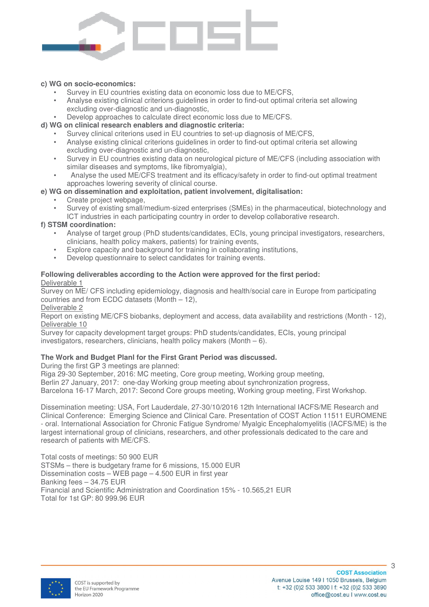

#### **c) WG on socio-economics:**

- Survey in EU countries existing data on economic loss due to ME/CFS.
- Analyse existing clinical criterions guidelines in order to find-out optimal criteria set allowing excluding over-diagnostic and un-diagnostic,
- Develop approaches to calculate direct economic loss due to ME/CFS.

#### **d) WG on clinical research enablers and diagnostic criteria:**

- Survey clinical criterions used in EU countries to set-up diagnosis of ME/CFS,
	- Analyse existing clinical criterions guidelines in order to find-out optimal criteria set allowing excluding over-diagnostic and un-diagnostic,
- Survey in EU countries existing data on neurological picture of ME/CFS (including association with similar diseases and symptoms, like fibromyalgia),
- Analyse the used ME/CFS treatment and its efficacy/safety in order to find-out optimal treatment approaches lowering severity of clinical course.

## **e) WG on dissemination and exploitation, patient involvement, digitalisation:**

- Create project webpage,
- Survey of existing small/medium-sized enterprises (SMEs) in the pharmaceutical, biotechnology and ICT industries in each participating country in order to develop collaborative research.

#### **f) STSM coordination:**

- Analyse of target group (PhD students/candidates, ECIs, young principal investigators, researchers, clinicians, health policy makers, patients) for training events,
- Explore capacity and background for training in collaborating institutions,
- Develop questionnaire to select candidates for training events.

#### **Following deliverables according to the Action were approved for the first period:**  Deliverable 1

Survey on ME/ CFS including epidemiology, diagnosis and health/social care in Europe from participating countries and from ECDC datasets (Month – 12),

Deliverable 2

Report on existing ME/CFS biobanks, deployment and access, data availability and restrictions (Month - 12), Deliverable 10

Survey for capacity development target groups: PhD students/candidates, ECIs, young principal investigators, researchers, clinicians, health policy makers (Month – 6).

## **The Work and Budget Planl for the First Grant Period was discussed.**

During the first GP 3 meetings are planned:

Riga 29-30 September, 2016: MC meeting, Core group meeting, Working group meeting, Berlin 27 January, 2017: one-day Working group meeting about synchronization progress, Barcelona 16-17 March, 2017: Second Core groups meeting, Working group meeting, First Workshop.

Dissemination meeting: USA, Fort Lauderdale, 27-30/10/2016 12th International IACFS/ME Research and Clinical Conference: Emerging Science and Clinical Care. Presentation of COST Action 11511 EUROMENE - oral. International Association for Chronic Fatigue Syndrome/ Myalgic Encephalomyelitis (IACFS/ME) is the largest international group of clinicians, researchers, and other professionals dedicated to the care and research of patients with ME/CFS.

Total costs of meetings: 50 900 EUR STSMs – there is budgetary frame for 6 missions, 15.000 EUR Dissemination costs – WEB page – 4.500 EUR in first year Banking fees – 34.75 EUR Financial and Scientific Administration and Coordination 15% - 10.565,21 EUR Total for 1st GP: 80 999.96 EUR



3